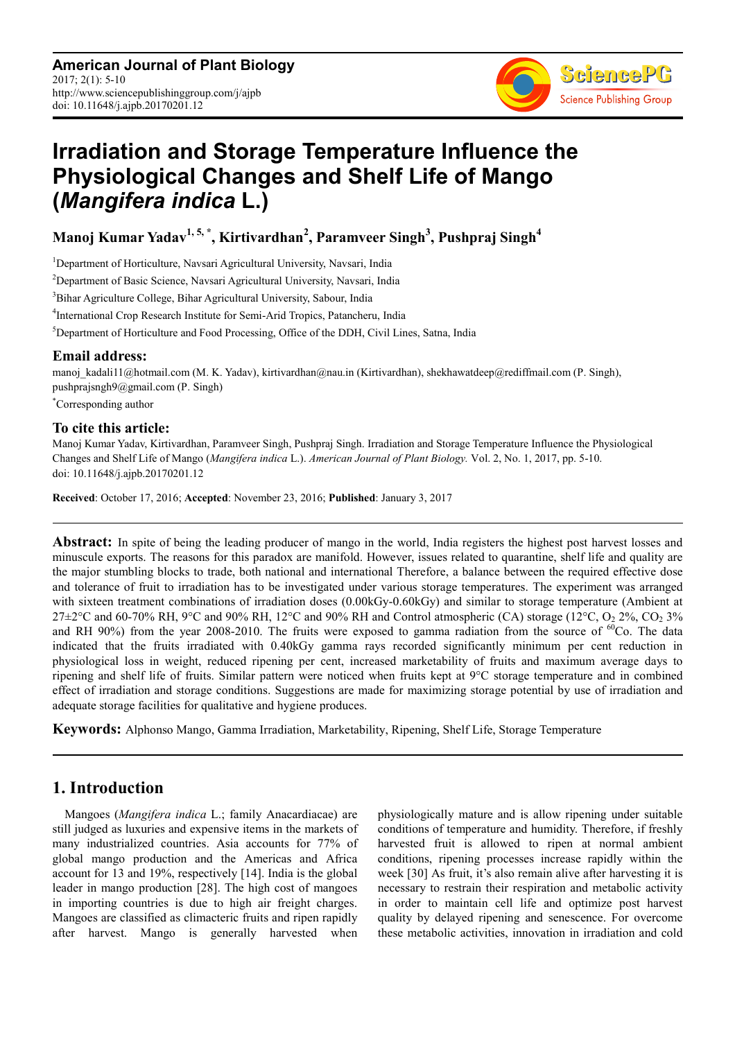**American Journal of Plant Biology** 2017; 2(1): 5-10 http://www.sciencepublishinggroup.com/j/ajpb doi: 10.11648/j.ajpb.20170201.12



# **Irradiation and Storage Temperature Influence the Physiological Changes and Shelf Life of Mango (***Mangifera indica* **L.)**

**Manoj Kumar Yadav1, 5, \*, Kirtivardhan<sup>2</sup> , Paramveer Singh<sup>3</sup> , Pushpraj Singh<sup>4</sup>**

<sup>1</sup>Department of Horticulture, Navsari Agricultural University, Navsari, India

<sup>2</sup>Department of Basic Science, Navsari Agricultural University, Navsari, India

<sup>3</sup>Bihar Agriculture College, Bihar Agricultural University, Sabour, India

4 International Crop Research Institute for Semi-Arid Tropics, Patancheru, India

<sup>5</sup>Department of Horticulture and Food Processing, Office of the DDH, Civil Lines, Satna, India

## **Email address:**

manoj\_kadali11@hotmail.com (M. K. Yadav), kirtivardhan@nau.in (Kirtivardhan), shekhawatdeep@rediffmail.com (P. Singh), pushprajsngh9@gmail.com (P. Singh)

\*Corresponding author

## **To cite this article:**

Manoj Kumar Yadav, Kirtivardhan, Paramveer Singh, Pushpraj Singh. Irradiation and Storage Temperature Influence the Physiological Changes and Shelf Life of Mango (*Mangifera indica* L.). *American Journal of Plant Biology.* Vol. 2, No. 1, 2017, pp. 5-10. doi: 10.11648/j.ajpb.20170201.12

**Received**: October 17, 2016; **Accepted**: November 23, 2016; **Published**: January 3, 2017

**Abstract:** In spite of being the leading producer of mango in the world, India registers the highest post harvest losses and minuscule exports. The reasons for this paradox are manifold. However, issues related to quarantine, shelf life and quality are the major stumbling blocks to trade, both national and international Therefore, a balance between the required effective dose and tolerance of fruit to irradiation has to be investigated under various storage temperatures. The experiment was arranged with sixteen treatment combinations of irradiation doses (0.00kGy-0.60kGy) and similar to storage temperature (Ambient at  $27\pm2$ °C and 60-70% RH, 9°C and 90% RH, 12°C and 90% RH and Control atmospheric (CA) storage (12°C, O<sub>2</sub> 2%, CO<sub>2</sub> 3% and RH 90%) from the year 2008-2010. The fruits were exposed to gamma radiation from the source of  ${}^{60}$ Co. The data indicated that the fruits irradiated with 0.40kGy gamma rays recorded significantly minimum per cent reduction in physiological loss in weight, reduced ripening per cent, increased marketability of fruits and maximum average days to ripening and shelf life of fruits. Similar pattern were noticed when fruits kept at 9°C storage temperature and in combined effect of irradiation and storage conditions. Suggestions are made for maximizing storage potential by use of irradiation and adequate storage facilities for qualitative and hygiene produces.

**Keywords:** Alphonso Mango, Gamma Irradiation, Marketability, Ripening, Shelf Life, Storage Temperature

# **1. Introduction**

Mangoes (*Mangifera indica* L.; family Anacardiacae) are still judged as luxuries and expensive items in the markets of many industrialized countries. Asia accounts for 77% of global mango production and the Americas and Africa account for 13 and 19%, respectively [14]. India is the global leader in mango production [28]. The high cost of mangoes in importing countries is due to high air freight charges. Mangoes are classified as climacteric fruits and ripen rapidly after harvest. Mango is generally harvested when

physiologically mature and is allow ripening under suitable conditions of temperature and humidity. Therefore, if freshly harvested fruit is allowed to ripen at normal ambient conditions, ripening processes increase rapidly within the week [30] As fruit, it's also remain alive after harvesting it is necessary to restrain their respiration and metabolic activity in order to maintain cell life and optimize post harvest quality by delayed ripening and senescence. For overcome these metabolic activities, innovation in irradiation and cold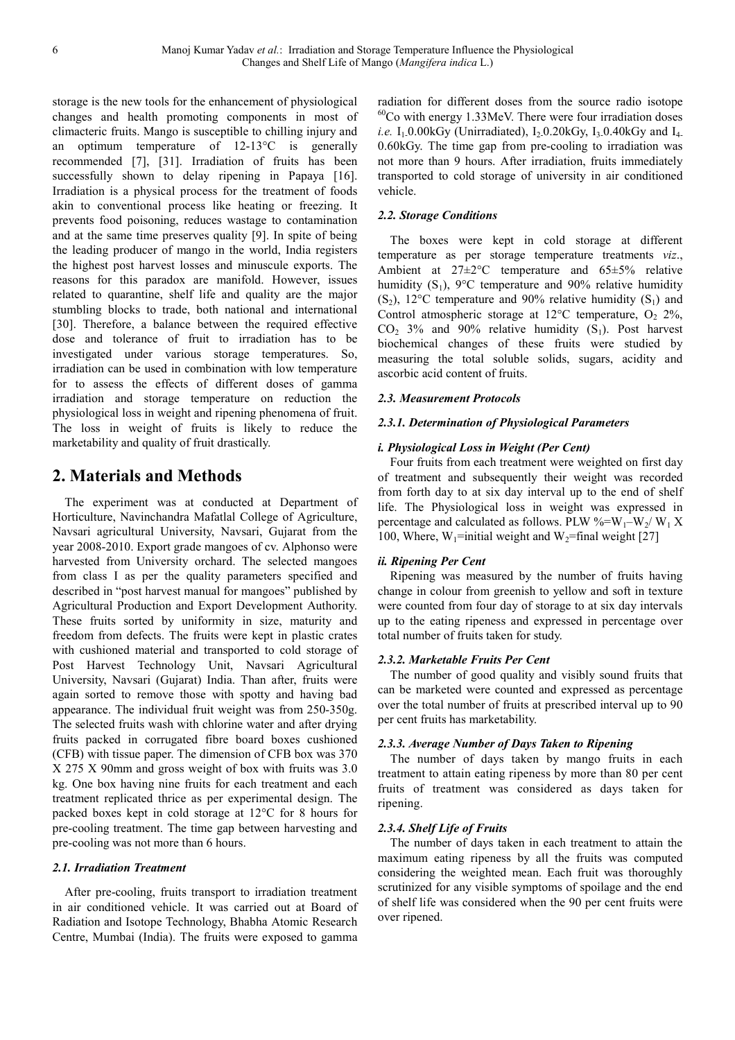storage is the new tools for the enhancement of physiological changes and health promoting components in most of climacteric fruits. Mango is susceptible to chilling injury and an optimum temperature of 12-13°C is generally recommended [7], [31]. Irradiation of fruits has been successfully shown to delay ripening in Papaya [16]. Irradiation is a physical process for the treatment of foods akin to conventional process like heating or freezing. It prevents food poisoning, reduces wastage to contamination and at the same time preserves quality [9]. In spite of being the leading producer of mango in the world, India registers the highest post harvest losses and minuscule exports. The reasons for this paradox are manifold. However, issues related to quarantine, shelf life and quality are the major stumbling blocks to trade, both national and international [30]. Therefore, a balance between the required effective dose and tolerance of fruit to irradiation has to be investigated under various storage temperatures. So, irradiation can be used in combination with low temperature for to assess the effects of different doses of gamma irradiation and storage temperature on reduction the physiological loss in weight and ripening phenomena of fruit. The loss in weight of fruits is likely to reduce the marketability and quality of fruit drastically.

# **2. Materials and Methods**

The experiment was at conducted at Department of Horticulture, Navinchandra Mafatlal College of Agriculture, Navsari agricultural University, Navsari, Gujarat from the year 2008-2010. Export grade mangoes of cv. Alphonso were harvested from University orchard. The selected mangoes from class I as per the quality parameters specified and described in "post harvest manual for mangoes" published by Agricultural Production and Export Development Authority. These fruits sorted by uniformity in size, maturity and freedom from defects. The fruits were kept in plastic crates with cushioned material and transported to cold storage of Post Harvest Technology Unit, Navsari Agricultural University, Navsari (Gujarat) India. Than after, fruits were again sorted to remove those with spotty and having bad appearance. The individual fruit weight was from 250-350g. The selected fruits wash with chlorine water and after drying fruits packed in corrugated fibre board boxes cushioned (CFB) with tissue paper. The dimension of CFB box was 370 X 275 X 90mm and gross weight of box with fruits was 3.0 kg. One box having nine fruits for each treatment and each treatment replicated thrice as per experimental design. The packed boxes kept in cold storage at 12°C for 8 hours for pre-cooling treatment. The time gap between harvesting and pre-cooling was not more than 6 hours.

#### *2.1. Irradiation Treatment*

After pre-cooling, fruits transport to irradiation treatment in air conditioned vehicle. It was carried out at Board of Radiation and Isotope Technology, Bhabha Atomic Research Centre, Mumbai (India). The fruits were exposed to gamma radiation for different doses from the source radio isotope  $60$ Co with energy 1.33MeV. There were four irradiation doses *i.e.*  $I_1$ -0.00kGy (Unirradiated),  $I_2$ -0.20kGy,  $I_3$ -0.40kGy and  $I_4$ . 0.60kGy. The time gap from pre-cooling to irradiation was not more than 9 hours. After irradiation, fruits immediately transported to cold storage of university in air conditioned vehicle.

#### *2.2. Storage Conditions*

The boxes were kept in cold storage at different temperature as per storage temperature treatments *viz*., Ambient at 27±2°C temperature and 65±5% relative humidity  $(S_1)$ ,  $9^{\circ}$ C temperature and  $90\%$  relative humidity  $(S_2)$ , 12°C temperature and 90% relative humidity  $(S_1)$  and Control atmospheric storage at 12 $^{\circ}$ C temperature, O<sub>2</sub> 2%,  $CO<sub>2</sub>$  3% and 90% relative humidity  $(S<sub>1</sub>)$ . Post harvest biochemical changes of these fruits were studied by measuring the total soluble solids, sugars, acidity and ascorbic acid content of fruits.

#### *2.3. Measurement Protocols*

#### *2.3.1. Determination of Physiological Parameters*

#### *i. Physiological Loss in Weight (Per Cent)*

Four fruits from each treatment were weighted on first day of treatment and subsequently their weight was recorded from forth day to at six day interval up to the end of shelf life. The Physiological loss in weight was expressed in percentage and calculated as follows. PLW %= $W_1-W_2/W_1 X$ 100, Where,  $W_1$ =initial weight and  $W_2$ =final weight [27]

#### *ii. Ripening Per Cent*

Ripening was measured by the number of fruits having change in colour from greenish to yellow and soft in texture were counted from four day of storage to at six day intervals up to the eating ripeness and expressed in percentage over total number of fruits taken for study.

#### *2.3.2. Marketable Fruits Per Cent*

The number of good quality and visibly sound fruits that can be marketed were counted and expressed as percentage over the total number of fruits at prescribed interval up to 90 per cent fruits has marketability.

#### *2.3.3. Average Number of Days Taken to Ripening*

The number of days taken by mango fruits in each treatment to attain eating ripeness by more than 80 per cent fruits of treatment was considered as days taken for ripening.

#### *2.3.4. Shelf Life of Fruits*

The number of days taken in each treatment to attain the maximum eating ripeness by all the fruits was computed considering the weighted mean. Each fruit was thoroughly scrutinized for any visible symptoms of spoilage and the end of shelf life was considered when the 90 per cent fruits were over ripened.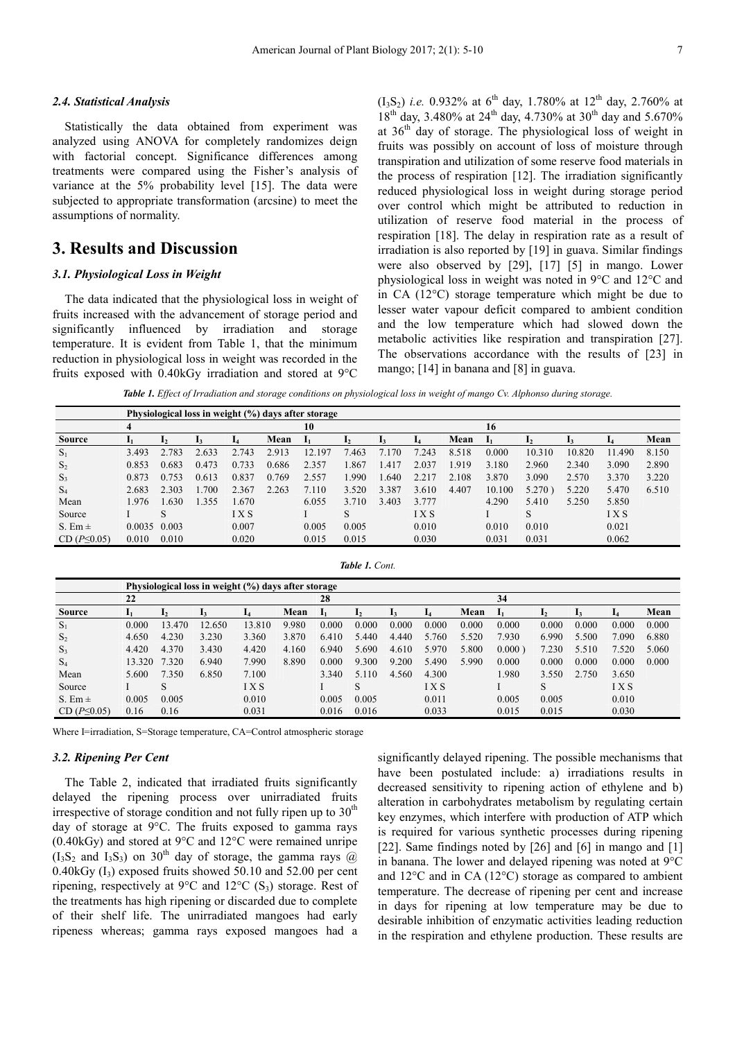#### *2.4. Statistical Analysis*

Statistically the data obtained from experiment was analyzed using ANOVA for completely randomizes deign with factorial concept. Significance differences among treatments were compared using the Fisher's analysis of variance at the 5% probability level [15]. The data were subjected to appropriate transformation (arcsine) to meet the assumptions of normality.

# **3. Results and Discussion**

#### *3.1. Physiological Loss in Weight*

The data indicated that the physiological loss in weight of fruits increased with the advancement of storage period and significantly influenced by irradiation and storage temperature. It is evident from Table 1, that the minimum reduction in physiological loss in weight was recorded in the fruits exposed with 0.40kGy irradiation and stored at 9°C  $(I_3S_2)$  *i.e.* 0.932% at 6<sup>th</sup> day, 1.780% at 12<sup>th</sup> day, 2.760% at  $18^{th}$  day, 3.480% at 24<sup>th</sup> day, 4.730% at 30<sup>th</sup> day and 5.670% at 36th day of storage. The physiological loss of weight in fruits was possibly on account of loss of moisture through transpiration and utilization of some reserve food materials in the process of respiration [12]. The irradiation significantly reduced physiological loss in weight during storage period over control which might be attributed to reduction in utilization of reserve food material in the process of respiration [18]. The delay in respiration rate as a result of irradiation is also reported by [19] in guava. Similar findings were also observed by [29], [17] [5] in mango. Lower physiological loss in weight was noted in 9°C and 12°C and in CA (12°C) storage temperature which might be due to lesser water vapour deficit compared to ambient condition and the low temperature which had slowed down the metabolic activities like respiration and transpiration [27]. The observations accordance with the results of [23] in mango; [14] in banana and [8] in guava.

*Table 1. Effect of Irradiation and storage conditions on physiological loss in weight of mango Cv. Alphonso during storage.* 

|                  |        |       |       |            |       | Physiological loss in weight (%) days after storage |       |       |            |       |        |        |        |            |       |
|------------------|--------|-------|-------|------------|-------|-----------------------------------------------------|-------|-------|------------|-------|--------|--------|--------|------------|-------|
|                  | 4      |       |       |            |       | 10                                                  |       |       |            |       | 16     |        |        |            |       |
| <b>Source</b>    |        | 12    |       |            | Mean  |                                                     |       |       |            | Mean  |        |        |        |            | Mean  |
| $S_1$            | 3.493  | 2.783 | 2.633 | 2.743      | 2.913 | 197<br>12.                                          | 7.463 | 70    | 7.243      | 8.518 | 0.000  | 10.310 | 10.820 | 11.490     | 8.150 |
| S <sub>2</sub>   | 0.853  | 0.683 | 0.473 | 0.733      | 0.686 | 2.357                                               | 1.867 | l.417 | 2.037      | .919  | 3.180  | 2.960  | 2.340  | 3.090      | 2.890 |
| $S_3$            | 0.873  | 0.753 | 0.613 | 0.837      | 0.769 | 2.557                                               | 1.990 | .640  | 2.217      | 2.108 | 3.870  | 3.090  | 2.570  | 3.370      | 3.220 |
| $S_4$            | 2.683  | 2.303 | .700  | 2.367      | 2.263 | 7.110                                               | 3.520 | 3.387 | 3.610      | 4.407 | 10.100 | 5.270  | 5.220  | 5.470      | 6.510 |
| Mean             | 1.976  | .630  | 1.355 | .670       |       | 6.055                                               | 3.710 | 3.403 | 3.777      |       | 4.290  | 5.410  | 5.250  | 5.850      |       |
| Source           |        |       |       | <b>IXS</b> |       |                                                     | S     |       | <b>IXS</b> |       |        | S      |        | <b>IXS</b> |       |
| S. Em $\pm$      | 0.0035 | 0.003 |       | 0.007      |       | 0.005                                               | 0.005 |       | 0.010      |       | 0.010  | 0.010  |        | 0.021      |       |
| $CD(P \le 0.05)$ | 0.010  | 0.010 |       | 0.020      |       | 0.015                                               | 0.015 |       | 0.030      |       | 0.031  | 0.031  |        | 0.062      |       |

| <b>Table 1. Cont.</b> |  |  |
|-----------------------|--|--|
|                       |  |  |

|                  |        |              | Physiological loss in weight (%) days after storage |            |       |       |         |       |       |       |        |       |       |            |       |
|------------------|--------|--------------|-----------------------------------------------------|------------|-------|-------|---------|-------|-------|-------|--------|-------|-------|------------|-------|
|                  | 22     |              |                                                     |            |       | 28    |         |       |       |       | 34     |       |       |            |       |
| <b>Source</b>    |        | $\mathbf{L}$ |                                                     | 14         | Mean  |       | ı,      |       |       | Mean  |        |       |       |            | Mean  |
| $S_1$            | 0.000  | 13.470       | 12.650                                              | 13.810     | 9.980 | 0.000 | 0.000   | 0.000 | 0.000 | 0.000 | 0.000  | 0.000 | 0.000 | 0.000      | 0.000 |
| S <sub>2</sub>   | 4.650  | 4.230        | 3.230                                               | 3.360      | 3.870 | 6.410 | 5.440   | 4.440 | 5.760 | 5.520 | 7.930  | 6.990 | 5.500 | 7.090      | 6.880 |
| $S_3$            | 4.420  | 4.370        | 3.430                                               | 4.420      | 4.160 | 6.940 | 5.690   | 4.610 | 5.970 | 5.800 | 0.000) | 7.230 | 5.510 | 7.520      | 5.060 |
| $S_4$            | 13.320 | 7.320        | 6.940                                               | 7.990      | 8.890 | 0.000 | 9.300   | 9.200 | 5.490 | 5.990 | 0.000  | 0.000 | 0.000 | 0.000      | 0.000 |
| Mean             | 5.600  | 7.350        | 6.850                                               | 7.100      |       | 3.340 | 5 1 1 0 | 4.560 | 4.300 |       | .980   | 3.550 | 2.750 | 3.650      |       |
| Source           |        | S            |                                                     | <b>IXS</b> |       |       | S       |       | I X S |       |        | S     |       | <b>IXS</b> |       |
| S. Em $\pm$      | 0.005  | 0.005        |                                                     | 0.010      |       | 0.005 | 0.005   |       | 0.011 |       | 0.005  | 0.005 |       | 0.010      |       |
| $CD(P \le 0.05)$ | 0.16   | 0.16         |                                                     | 0.031      |       | 0.016 | 0.016   |       | 0.033 |       | 0.015  | 0.015 |       | 0.030      |       |

Where I=irradiation, S=Storage temperature, CA=Control atmospheric storage

### *3.2. Ripening Per Cent*

The Table 2, indicated that irradiated fruits significantly delayed the ripening process over unirradiated fruits irrespective of storage condition and not fully ripen up to  $30<sup>th</sup>$ day of storage at 9°C. The fruits exposed to gamma rays (0.40kGy) and stored at 9°C and 12°C were remained unripe  $(I_3S_2$  and  $I_3S_3$ ) on 30<sup>th</sup> day of storage, the gamma rays  $\omega$  $0.40$ kGy  $(I_3)$  exposed fruits showed 50.10 and 52.00 per cent ripening, respectively at 9 $\rm{°C}$  and 12 $\rm{°C}$  (S<sub>3</sub>) storage. Rest of the treatments has high ripening or discarded due to complete of their shelf life. The unirradiated mangoes had early ripeness whereas; gamma rays exposed mangoes had a

significantly delayed ripening. The possible mechanisms that have been postulated include: a) irradiations results in decreased sensitivity to ripening action of ethylene and b) alteration in carbohydrates metabolism by regulating certain key enzymes, which interfere with production of ATP which is required for various synthetic processes during ripening [22]. Same findings noted by [26] and [6] in mango and [1] in banana. The lower and delayed ripening was noted at 9°C and 12°C and in CA (12°C) storage as compared to ambient temperature. The decrease of ripening per cent and increase in days for ripening at low temperature may be due to desirable inhibition of enzymatic activities leading reduction in the respiration and ethylene production. These results are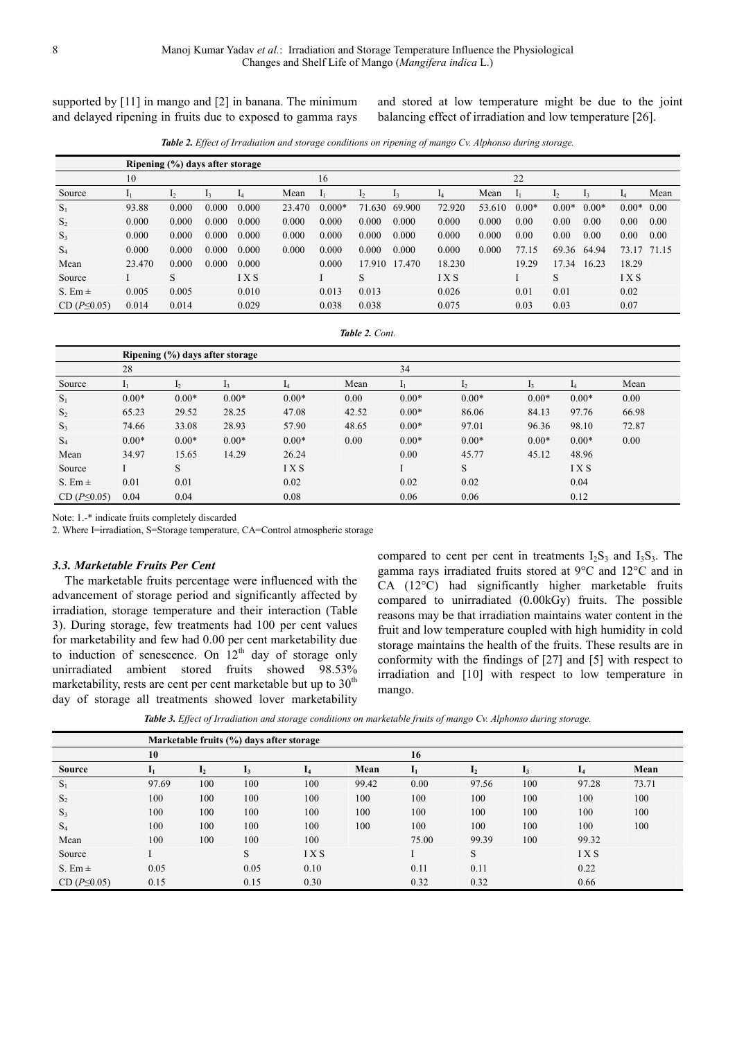supported by [11] in mango and [2] in banana. The minimum and delayed ripening in fruits due to exposed to gamma rays and stored at low temperature might be due to the joint balancing effect of irradiation and low temperature [26].

*Table 2. Effect of Irradiation and storage conditions on ripening of mango Cv. Alphonso during storage.* 

|                  | Ripening (%) days after storage |       |       |       |        |          |        |        |            |        |              |         |         |         |       |
|------------------|---------------------------------|-------|-------|-------|--------|----------|--------|--------|------------|--------|--------------|---------|---------|---------|-------|
|                  | 10                              |       |       |       |        | 16       |        |        |            |        | 22           |         |         |         |       |
| Source           |                                 | 12    | 13    | 14    | Mean   |          | 12     |        | 14         | Mean   | $\mathbf{I}$ | 12      |         |         | Mean  |
| $S_1$            | 93.88                           | 0.000 | 0.000 | 0.000 | 23.470 | $0.000*$ | 71.630 | 69.900 | 72.920     | 53.610 | $0.00*$      | $0.00*$ | $0.00*$ | $0.00*$ | 0.00  |
| S <sub>2</sub>   | 0.000                           | 0.000 | 0.000 | 0.000 | 0.000  | 0.000    | 0.000  | 0.000  | 0.000      | 0.000  | 0.00         | 0.00    | 0.00    | 0.00    | 0.00  |
| $S_3$            | 0.000                           | 0.000 | 0.000 | 0.000 | 0.000  | 0.000    | 0.000  | 0.000  | 0.000      | 0.000  | 0.00         | 0.00    | 0.00    | 0.00    | 0.00  |
| $S_4$            | 0.000                           | 0.000 | 0.000 | 0.000 | 0.000  | 0.000    | 0.000  | 0.000  | 0.000      | 0.000  | 77.15        | 69.36   | 64.94   | 73.17   | 71.15 |
| Mean             | 23.470                          | 0.000 | 0.000 | 0.000 |        | 0.000    | 17.910 | 17.470 | 18.230     |        | 19.29        | 17.34   | 16.23   | 18.29   |       |
| Source           |                                 | S     |       | IXS   |        |          | S      |        | <b>IXS</b> |        |              | S       |         | IXS     |       |
| S. Em $\pm$      | 0.005                           | 0.005 |       | 0.010 |        | 0.013    | 0.013  |        | 0.026      |        | 0.01         | 0.01    |         | 0.02    |       |
| $CD(P \le 0.05)$ | 0.014                           | 0.014 |       | 0.029 |        | 0.038    | 0.038  |        | 0.075      |        | 0.03         | 0.03    |         | 0.07    |       |

*Table 2. Cont.* 

|                  |                |         | Ripening (%) days after storage |            |       |         |         |         |            |       |
|------------------|----------------|---------|---------------------------------|------------|-------|---------|---------|---------|------------|-------|
|                  | 28             |         |                                 |            |       | 34      |         |         |            |       |
| Source           | 1 <sub>1</sub> | 12      | 13                              |            | Mean  | 11      |         |         |            | Mean  |
| $S_1$            | $0.00*$        | $0.00*$ | $0.00*$                         | $0.00*$    | 0.00  | $0.00*$ | $0.00*$ | $0.00*$ | $0.00*$    | 0.00  |
| S <sub>2</sub>   | 65.23          | 29.52   | 28.25                           | 47.08      | 42.52 | $0.00*$ | 86.06   | 84.13   | 97.76      | 66.98 |
| $S_3$            | 74.66          | 33.08   | 28.93                           | 57.90      | 48.65 | $0.00*$ | 97.01   | 96.36   | 98.10      | 72.87 |
| $S_4$            | $0.00*$        | $0.00*$ | $0.00*$                         | $0.00*$    | 0.00  | $0.00*$ | $0.00*$ | $0.00*$ | $0.00*$    | 0.00  |
| Mean             | 34.97          | 15.65   | 14.29                           | 26.24      |       | 0.00    | 45.77   | 45.12   | 48.96      |       |
| Source           |                | S       |                                 | <b>IXS</b> |       |         | S       |         | <b>IXS</b> |       |
| S. Em $\pm$      | 0.01           | 0.01    |                                 | 0.02       |       | 0.02    | 0.02    |         | 0.04       |       |
| $CD(P \le 0.05)$ | 0.04           | 0.04    |                                 | 0.08       |       | 0.06    | 0.06    |         | 0.12       |       |

Note: 1.-\* indicate fruits completely discarded

2. Where I=irradiation, S=Storage temperature, CA=Control atmospheric storage

#### *3.3. Marketable Fruits Per Cent*

The marketable fruits percentage were influenced with the advancement of storage period and significantly affected by irradiation, storage temperature and their interaction (Table 3). During storage, few treatments had 100 per cent values for marketability and few had 0.00 per cent marketability due to induction of senescence. On  $12<sup>th</sup>$  day of storage only unirradiated ambient stored fruits showed 98.53% marketability, rests are cent per cent marketable but up to  $30<sup>th</sup>$ day of storage all treatments showed lover marketability compared to cent per cent in treatments  $I_2S_3$  and  $I_3S_3$ . The gamma rays irradiated fruits stored at 9°C and 12°C and in CA (12°C) had significantly higher marketable fruits compared to unirradiated (0.00kGy) fruits. The possible reasons may be that irradiation maintains water content in the fruit and low temperature coupled with high humidity in cold storage maintains the health of the fruits. These results are in conformity with the findings of [27] and [5] with respect to irradiation and [10] with respect to low temperature in mango.

*Table 3. Effect of Irradiation and storage conditions on marketable fruits of mango Cv. Alphonso during storage.* 

|                  |       |                | Marketable fruits (%) days after storage |      |       |                |                |     |            |       |
|------------------|-------|----------------|------------------------------------------|------|-------|----------------|----------------|-----|------------|-------|
|                  | 10    |                |                                          |      |       | 16             |                |     |            |       |
| <b>Source</b>    |       | 1 <sub>2</sub> | 13                                       | 14   | Mean  | 1 <sub>1</sub> | 1 <sub>2</sub> | 13  |            | Mean  |
| $S_1$            | 97.69 | 100            | 100                                      | 100  | 99.42 | 0.00           | 97.56          | 100 | 97.28      | 73.71 |
| $S_2$            | 100   | 100            | 100                                      | 100  | 100   | 100            | 100            | 100 | 100        | 100   |
| $S_3$            | 100   | 100            | 100                                      | 100  | 100   | 100            | 100            | 100 | 100        | 100   |
| $S_4$            | 100   | 100            | 100                                      | 100  | 100   | 100            | 100            | 100 | 100        | 100   |
| Mean             | 100   | 100            | 100                                      | 100  |       | 75.00          | 99.39          | 100 | 99.32      |       |
| Source           |       |                | S                                        | IXS  |       |                | S              |     | <b>IXS</b> |       |
| S. Em $\pm$      | 0.05  |                | 0.05                                     | 0.10 |       | 0.11           | 0.11           |     | 0.22       |       |
| $CD(P \le 0.05)$ | 0.15  |                | 0.15                                     | 0.30 |       | 0.32           | 0.32           |     | 0.66       |       |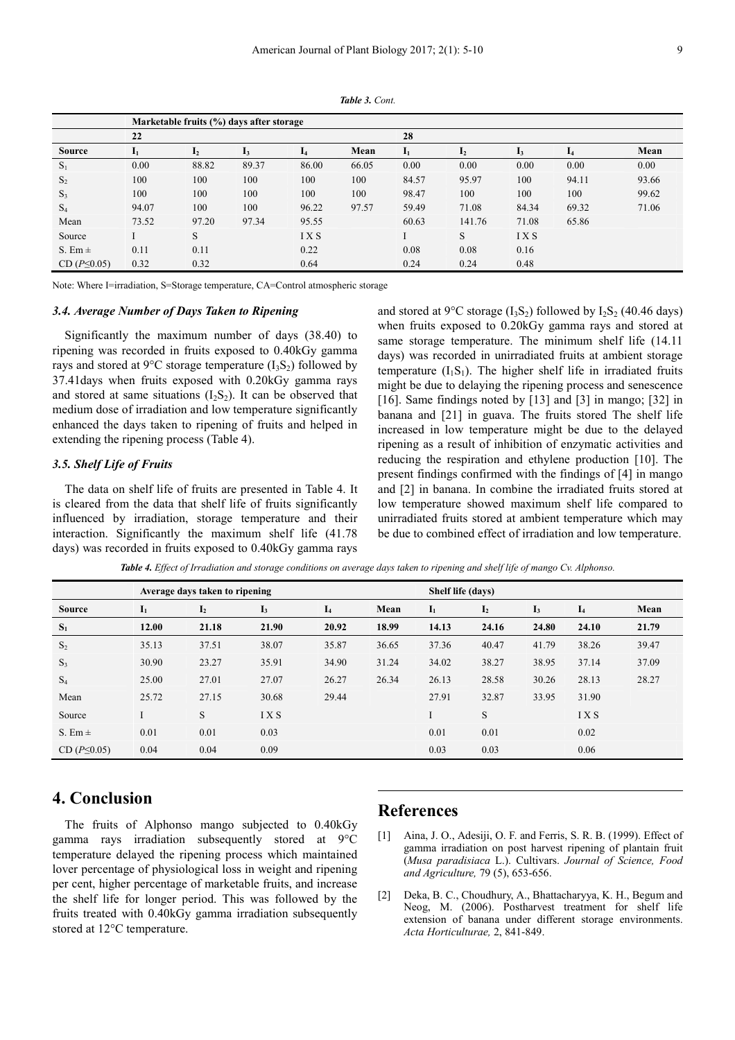|                  |              |              | Marketable fruits (%) days after storage |                |       |       |        |       |       |       |
|------------------|--------------|--------------|------------------------------------------|----------------|-------|-------|--------|-------|-------|-------|
|                  | 22           |              |                                          |                |       | 28    |        |       |       |       |
| <b>Source</b>    | $\mathbf{I}$ | $\mathbf{L}$ | ı3                                       | $\overline{a}$ | Mean  | 11    | 12     | 13    | 14    | Mean  |
| $S_1$            | 0.00         | 88.82        | 89.37                                    | 86.00          | 66.05 | 0.00  | 0.00   | 0.00  | 0.00  | 0.00  |
| S <sub>2</sub>   | 100          | 100          | 100                                      | 100            | 100   | 84.57 | 95.97  | 100   | 94.11 | 93.66 |
| $S_3$            | 100          | 100          | 100                                      | 100            | 100   | 98.47 | 100    | 100   | 100   | 99.62 |
| $S_4$            | 94.07        | 100          | 100                                      | 96.22          | 97.57 | 59.49 | 71.08  | 84.34 | 69.32 | 71.06 |
| Mean             | 73.52        | 97.20        | 97.34                                    | 95.55          |       | 60.63 | 141.76 | 71.08 | 65.86 |       |
| Source           |              | S            |                                          | <b>IXS</b>     |       |       | S      | IXS   |       |       |
| S. Em $\pm$      | 0.11         | 0.11         |                                          | 0.22           |       | 0.08  | 0.08   | 0.16  |       |       |
| $CD(P \le 0.05)$ | 0.32         | 0.32         |                                          | 0.64           |       | 0.24  | 0.24   | 0.48  |       |       |

*Table 3. Cont.* 

Note: Where I=irradiation, S=Storage temperature, CA=Control atmospheric storage

#### *3.4. Average Number of Days Taken to Ripening*

Significantly the maximum number of days (38.40) to ripening was recorded in fruits exposed to 0.40kGy gamma rays and stored at 9 $\rm ^{o}C$  storage temperature  $(I_3S_2)$  followed by 37.41days when fruits exposed with 0.20kGy gamma rays and stored at same situations  $(I_2S_2)$ . It can be observed that medium dose of irradiation and low temperature significantly enhanced the days taken to ripening of fruits and helped in extending the ripening process (Table 4).

#### *3.5. Shelf Life of Fruits*

The data on shelf life of fruits are presented in Table 4. It is cleared from the data that shelf life of fruits significantly influenced by irradiation, storage temperature and their interaction. Significantly the maximum shelf life (41.78 days) was recorded in fruits exposed to 0.40kGy gamma rays and stored at 9 $\rm ^{o}C$  storage (I<sub>3</sub>S<sub>2</sub>) followed by I<sub>2</sub>S<sub>2</sub> (40.46 days) when fruits exposed to 0.20kGy gamma rays and stored at same storage temperature. The minimum shelf life (14.11 days) was recorded in unirradiated fruits at ambient storage temperature  $(I_1S_1)$ . The higher shelf life in irradiated fruits might be due to delaying the ripening process and senescence [16]. Same findings noted by [13] and [3] in mango; [32] in banana and [21] in guava. The fruits stored The shelf life increased in low temperature might be due to the delayed ripening as a result of inhibition of enzymatic activities and reducing the respiration and ethylene production [10]. The present findings confirmed with the findings of [4] in mango and [2] in banana. In combine the irradiated fruits stored at low temperature showed maximum shelf life compared to unirradiated fruits stored at ambient temperature which may be due to combined effect of irradiation and low temperature.

| Table 4. Effect of Irradiation and storage conditions on average days taken to ripening and shelf life of mango Cv. Alphonso. |  |  |  |
|-------------------------------------------------------------------------------------------------------------------------------|--|--|--|

|                  |                | Average days taken to ripening |                |       |       | Shelf life (days) |                |       |            |       |
|------------------|----------------|--------------------------------|----------------|-------|-------|-------------------|----------------|-------|------------|-------|
| <b>Source</b>    | $\mathbf{I}_1$ | I <sub>2</sub>                 | $\mathbf{I}_3$ | $I_4$ | Mean  | $\mathbf{I}_1$    | $\mathbf{I}_2$ | $I_3$ | $I_4$      | Mean  |
| $S_1$            | 12.00          | 21.18                          | 21.90          | 20.92 | 18.99 | 14.13             | 24.16          | 24.80 | 24.10      | 21.79 |
| S <sub>2</sub>   | 35.13          | 37.51                          | 38.07          | 35.87 | 36.65 | 37.36             | 40.47          | 41.79 | 38.26      | 39.47 |
| $S_3$            | 30.90          | 23.27                          | 35.91          | 34.90 | 31.24 | 34.02             | 38.27          | 38.95 | 37.14      | 37.09 |
| $S_4$            | 25.00          | 27.01                          | 27.07          | 26.27 | 26.34 | 26.13             | 28.58          | 30.26 | 28.13      | 28.27 |
| Mean             | 25.72          | 27.15                          | 30.68          | 29.44 |       | 27.91             | 32.87          | 33.95 | 31.90      |       |
| Source           |                | S                              | IXS            |       |       |                   | S              |       | <b>IXS</b> |       |
| S. Em $\pm$      | 0.01           | 0.01                           | 0.03           |       |       | 0.01              | 0.01           |       | 0.02       |       |
| $CD(P \le 0.05)$ | 0.04           | 0.04                           | 0.09           |       |       | 0.03              | 0.03           |       | 0.06       |       |

# **4. Conclusion**

The fruits of Alphonso mango subjected to 0.40kGy gamma rays irradiation subsequently stored at 9°C temperature delayed the ripening process which maintained lover percentage of physiological loss in weight and ripening per cent, higher percentage of marketable fruits, and increase the shelf life for longer period. This was followed by the fruits treated with 0.40kGy gamma irradiation subsequently stored at 12°C temperature.

## **References**

- [1] Aina, J. O., Adesiji, O. F. and Ferris, S. R. B. (1999). Effect of gamma irradiation on post harvest ripening of plantain fruit (*Musa paradisiaca* L.). Cultivars. *Journal of Science, Food and Agriculture,* 79 (5), 653-656.
- [2] Deka, B. C., Choudhury, A., Bhattacharyya, K. H., Begum and Neog, M. (2006). Postharvest treatment for shelf life extension of banana under different storage environments. *Acta Horticulturae,* 2, 841-849.